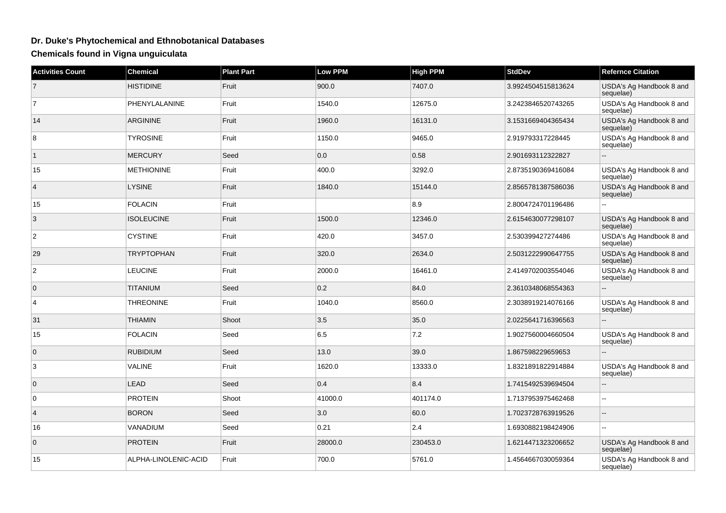## **Dr. Duke's Phytochemical and Ethnobotanical Databases**

**Chemicals found in Vigna unguiculata**

| <b>Activities Count</b> | <b>Chemical</b>      | <b>Plant Part</b> | <b>Low PPM</b> | <b>High PPM</b> | <b>StdDev</b>      | <b>Refernce Citation</b>              |
|-------------------------|----------------------|-------------------|----------------|-----------------|--------------------|---------------------------------------|
| $\overline{7}$          | <b>HISTIDINE</b>     | Fruit             | 900.0          | 7407.0          | 3.9924504515813624 | USDA's Ag Handbook 8 and<br>sequelae) |
| $\overline{7}$          | PHENYLALANINE        | Fruit             | 1540.0         | 12675.0         | 3.2423846520743265 | USDA's Ag Handbook 8 and<br>sequelae) |
| 14                      | <b>ARGININE</b>      | Fruit             | 1960.0         | 16131.0         | 3.1531669404365434 | USDA's Ag Handbook 8 and<br>sequelae) |
| 8                       | <b>TYROSINE</b>      | Fruit             | 1150.0         | 9465.0          | 2.919793317228445  | USDA's Ag Handbook 8 and<br>sequelae) |
| $\mathbf{1}$            | <b>MERCURY</b>       | Seed              | 0.0            | 0.58            | 2.901693112322827  | Ξ.                                    |
| 15                      | <b>METHIONINE</b>    | Fruit             | 400.0          | 3292.0          | 2.8735190369416084 | USDA's Ag Handbook 8 and<br>sequelae) |
| $\overline{4}$          | <b>LYSINE</b>        | Fruit             | 1840.0         | 15144.0         | 2.8565781387586036 | USDA's Ag Handbook 8 and<br>sequelae) |
| 15                      | <b>FOLACIN</b>       | Fruit             |                | 8.9             | 2.8004724701196486 |                                       |
| 3                       | <b>ISOLEUCINE</b>    | Fruit             | 1500.0         | 12346.0         | 2.6154630077298107 | USDA's Ag Handbook 8 and<br>sequelae) |
| 2                       | <b>CYSTINE</b>       | Fruit             | 420.0          | 3457.0          | 2.530399427274486  | USDA's Ag Handbook 8 and<br>sequelae) |
| 29                      | <b>TRYPTOPHAN</b>    | Fruit             | 320.0          | 2634.0          | 2.5031222990647755 | USDA's Ag Handbook 8 and<br>sequelae) |
| $\overline{2}$          | <b>LEUCINE</b>       | Fruit             | 2000.0         | 16461.0         | 2.4149702003554046 | USDA's Ag Handbook 8 and<br>sequelae) |
| $\mathbf 0$             | <b>TITANIUM</b>      | Seed              | 0.2            | 84.0            | 2.3610348068554363 |                                       |
| 4                       | <b>THREONINE</b>     | Fruit             | 1040.0         | 8560.0          | 2.3038919214076166 | USDA's Ag Handbook 8 and<br>sequelae) |
| 31                      | <b>THIAMIN</b>       | Shoot             | 3.5            | 35.0            | 2.0225641716396563 |                                       |
| 15                      | <b>FOLACIN</b>       | Seed              | 6.5            | 7.2             | 1.9027560004660504 | USDA's Ag Handbook 8 and<br>sequelae) |
| $\mathbf 0$             | <b>RUBIDIUM</b>      | Seed              | 13.0           | 39.0            | 1.867598229659653  |                                       |
| 3                       | <b>VALINE</b>        | Fruit             | 1620.0         | 13333.0         | 1.8321891822914884 | USDA's Ag Handbook 8 and<br>sequelae) |
| $\mathbf{0}$            | <b>LEAD</b>          | Seed              | 0.4            | 8.4             | 1.7415492539694504 |                                       |
| 0                       | <b>PROTEIN</b>       | Shoot             | 41000.0        | 401174.0        | 1.7137953975462468 | $\sim$                                |
| $\overline{4}$          | <b>BORON</b>         | Seed              | 3.0            | 60.0            | 1.7023728763919526 |                                       |
| 16                      | VANADIUM             | Seed              | 0.21           | 2.4             | 1.6930882198424906 |                                       |
| $\mathbf 0$             | <b>PROTEIN</b>       | Fruit             | 28000.0        | 230453.0        | 1.6214471323206652 | USDA's Ag Handbook 8 and<br>sequelae) |
| 15                      | ALPHA-LINOLENIC-ACID | Fruit             | 700.0          | 5761.0          | 1.4564667030059364 | USDA's Ag Handbook 8 and<br>sequelae) |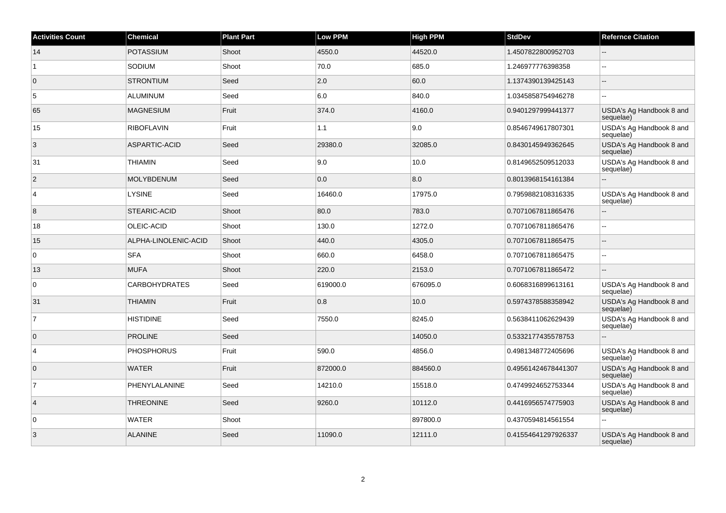| <b>Activities Count</b> | <b>Chemical</b>      | <b>Plant Part</b> | <b>Low PPM</b> | <b>High PPM</b> | <b>StdDev</b>       | <b>Refernce Citation</b>              |
|-------------------------|----------------------|-------------------|----------------|-----------------|---------------------|---------------------------------------|
| 14                      | <b>POTASSIUM</b>     | Shoot             | 4550.0         | 44520.0         | 1.4507822800952703  |                                       |
| $\overline{1}$          | SODIUM               | Shoot             | 70.0           | 685.0           | 1.246977776398358   | ă.                                    |
| $\overline{0}$          | <b>STRONTIUM</b>     | Seed              | 2.0            | 60.0            | 1.1374390139425143  | $\overline{\phantom{a}}$              |
| 5                       | <b>ALUMINUM</b>      | Seed              | 6.0            | 840.0           | 1.0345858754946278  | $\sim$                                |
| 65                      | <b>MAGNESIUM</b>     | Fruit             | 374.0          | 4160.0          | 0.9401297999441377  | USDA's Ag Handbook 8 and<br>sequelae) |
| 15                      | <b>RIBOFLAVIN</b>    | Fruit             | 1.1            | 9.0             | 0.8546749617807301  | USDA's Ag Handbook 8 and<br>sequelae) |
| 3                       | ASPARTIC-ACID        | Seed              | 29380.0        | 32085.0         | 0.8430145949362645  | USDA's Ag Handbook 8 and<br>sequelae) |
| 31                      | <b>THIAMIN</b>       | Seed              | 9.0            | 10.0            | 0.8149652509512033  | USDA's Ag Handbook 8 and<br>sequelae) |
| $\overline{2}$          | <b>MOLYBDENUM</b>    | Seed              | 0.0            | 8.0             | 0.8013968154161384  | ÷.                                    |
| $\overline{4}$          | <b>LYSINE</b>        | Seed              | 16460.0        | 17975.0         | 0.7959882108316335  | USDA's Ag Handbook 8 and<br>sequelae) |
| 8                       | STEARIC-ACID         | Shoot             | 80.0           | 783.0           | 0.7071067811865476  | $\sim$                                |
| 18                      | OLEIC-ACID           | Shoot             | 130.0          | 1272.0          | 0.7071067811865476  | $\ddotsc$                             |
| 15                      | ALPHA-LINOLENIC-ACID | Shoot             | 440.0          | 4305.0          | 0.7071067811865475  | ÷.                                    |
| $\overline{0}$          | SFA                  | Shoot             | 660.0          | 6458.0          | 0.7071067811865475  | $\sim$                                |
| 13                      | <b>MUFA</b>          | Shoot             | 220.0          | 2153.0          | 0.7071067811865472  | $\sim$                                |
| $\overline{0}$          | <b>CARBOHYDRATES</b> | Seed              | 619000.0       | 676095.0        | 0.6068316899613161  | USDA's Ag Handbook 8 and<br>sequelae) |
| 31                      | <b>THIAMIN</b>       | Fruit             | 0.8            | 10.0            | 0.5974378588358942  | USDA's Ag Handbook 8 and<br>sequelae) |
| $\overline{7}$          | <b>HISTIDINE</b>     | Seed              | 7550.0         | 8245.0          | 0.5638411062629439  | USDA's Ag Handbook 8 and<br>sequelae) |
| $\overline{0}$          | <b>PROLINE</b>       | Seed              |                | 14050.0         | 0.5332177435578753  |                                       |
| $\overline{4}$          | <b>PHOSPHORUS</b>    | Fruit             | 590.0          | 4856.0          | 0.4981348772405696  | USDA's Ag Handbook 8 and<br>sequelae) |
| $\overline{0}$          | <b>WATER</b>         | Fruit             | 872000.0       | 884560.0        | 0.49561424678441307 | USDA's Ag Handbook 8 and<br>sequelae) |
| $\overline{7}$          | PHENYLALANINE        | Seed              | 14210.0        | 15518.0         | 0.4749924652753344  | USDA's Ag Handbook 8 and<br>sequelae) |
| $\vert$ 4               | <b>THREONINE</b>     | Seed              | 9260.0         | 10112.0         | 0.4416956574775903  | USDA's Ag Handbook 8 and<br>sequelae) |
| $\overline{0}$          | <b>WATER</b>         | Shoot             |                | 897800.0        | 0.4370594814561554  | $\overline{a}$                        |
| 3                       | <b>ALANINE</b>       | Seed              | 11090.0        | 12111.0         | 0.41554641297926337 | USDA's Ag Handbook 8 and<br>sequelae) |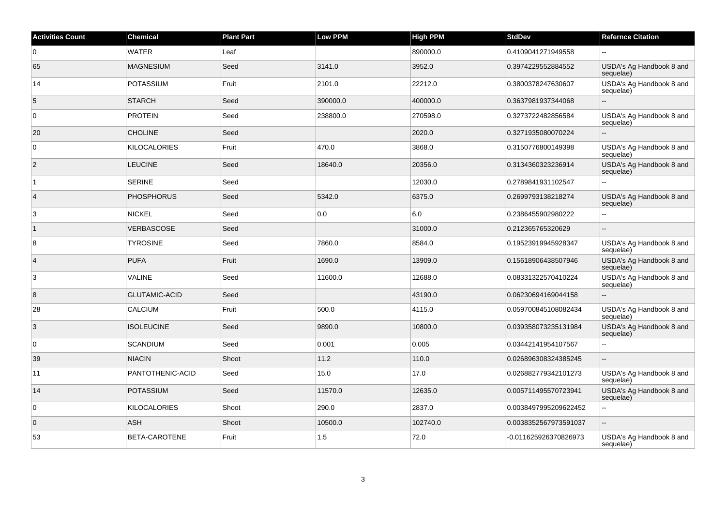| <b>Activities Count</b> | <b>Chemical</b>      | <b>Plant Part</b> | <b>Low PPM</b> | <b>High PPM</b> | <b>StdDev</b>         | <b>Refernce Citation</b>              |
|-------------------------|----------------------|-------------------|----------------|-----------------|-----------------------|---------------------------------------|
| 0                       | <b>WATER</b>         | Leaf              |                | 890000.0        | 0.4109041271949558    |                                       |
| 65                      | <b>MAGNESIUM</b>     | Seed              | 3141.0         | 3952.0          | 0.3974229552884552    | USDA's Ag Handbook 8 and<br>sequelae) |
| 14                      | <b>POTASSIUM</b>     | Fruit             | 2101.0         | 22212.0         | 0.3800378247630607    | USDA's Ag Handbook 8 and<br>sequelae) |
| 5                       | <b>STARCH</b>        | Seed              | 390000.0       | 400000.0        | 0.3637981937344068    | ÷.                                    |
| $\overline{0}$          | <b>PROTEIN</b>       | Seed              | 238800.0       | 270598.0        | 0.3273722482856584    | USDA's Ag Handbook 8 and<br>sequelae) |
| 20                      | <b>CHOLINE</b>       | Seed              |                | 2020.0          | 0.3271935080070224    |                                       |
| $\overline{0}$          | <b>KILOCALORIES</b>  | Fruit             | 470.0          | 3868.0          | 0.3150776800149398    | USDA's Ag Handbook 8 and<br>sequelae) |
| $\vert$ 2               | <b>LEUCINE</b>       | Seed              | 18640.0        | 20356.0         | 0.3134360323236914    | USDA's Ag Handbook 8 and<br>sequelae) |
| $\overline{1}$          | <b>SERINE</b>        | Seed              |                | 12030.0         | 0.2789841931102547    |                                       |
| $\overline{4}$          | <b>PHOSPHORUS</b>    | Seed              | 5342.0         | 6375.0          | 0.2699793138218274    | USDA's Ag Handbook 8 and<br>sequelae) |
| 3                       | <b>NICKEL</b>        | Seed              | 0.0            | 6.0             | 0.2386455902980222    |                                       |
| $\overline{1}$          | <b>VERBASCOSE</b>    | Seed              |                | 31000.0         | 0.212365765320629     | ÷.                                    |
| 8                       | <b>TYROSINE</b>      | Seed              | 7860.0         | 8584.0          | 0.19523919945928347   | USDA's Ag Handbook 8 and<br>sequelae) |
| $\vert 4 \vert$         | <b>PUFA</b>          | Fruit             | 1690.0         | 13909.0         | 0.15618906438507946   | USDA's Ag Handbook 8 and<br>sequelae) |
| 3                       | <b>VALINE</b>        | Seed              | 11600.0        | 12688.0         | 0.08331322570410224   | USDA's Ag Handbook 8 and<br>sequelae) |
| 8                       | <b>GLUTAMIC-ACID</b> | Seed              |                | 43190.0         | 0.06230694169044158   | $\mathbf{u}$                          |
| 28                      | <b>CALCIUM</b>       | Fruit             | 500.0          | 4115.0          | 0.059700845108082434  | USDA's Ag Handbook 8 and<br>sequelae) |
| 3                       | <b>ISOLEUCINE</b>    | Seed              | 9890.0         | 10800.0         | 0.039358073235131984  | USDA's Ag Handbook 8 and<br>sequelae) |
| $\overline{0}$          | <b>SCANDIUM</b>      | Seed              | 0.001          | 0.005           | 0.03442141954107567   | $\overline{a}$                        |
| 39                      | <b>NIACIN</b>        | Shoot             | 11.2           | 110.0           | 0.026896308324385245  |                                       |
| 11                      | PANTOTHENIC-ACID     | Seed              | 15.0           | 17.0            | 0.026882779342101273  | USDA's Ag Handbook 8 and<br>sequelae) |
| 14                      | <b>POTASSIUM</b>     | Seed              | 11570.0        | 12635.0         | 0.005711495570723941  | USDA's Ag Handbook 8 and<br>sequelae) |
| $\overline{0}$          | <b>KILOCALORIES</b>  | Shoot             | 290.0          | 2837.0          | 0.0038497995209622452 | $\overline{a}$                        |
| $\overline{0}$          | <b>ASH</b>           | Shoot             | 10500.0        | 102740.0        | 0.0038352567973591037 | $\overline{\phantom{a}}$              |
| 53                      | <b>BETA-CAROTENE</b> | Fruit             | 1.5            | 72.0            | -0.011625926370826973 | USDA's Ag Handbook 8 and<br>sequelae) |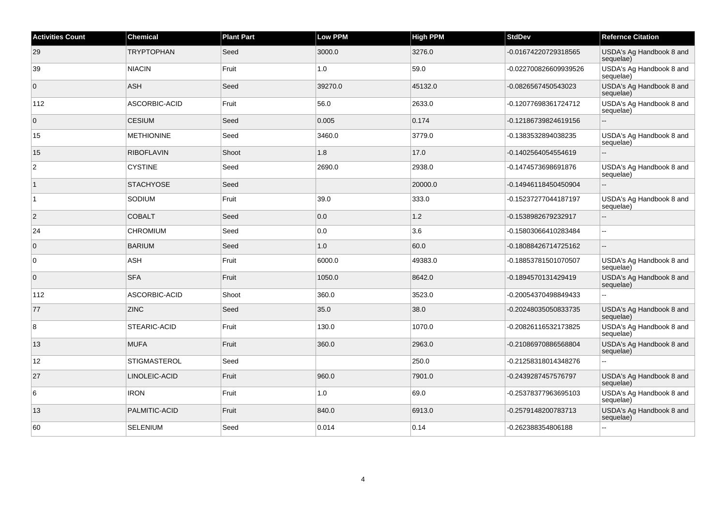| <b>Activities Count</b> | <b>Chemical</b>     | <b>Plant Part</b> | <b>Low PPM</b> | <b>High PPM</b> | <b>StdDev</b>         | <b>Refernce Citation</b>              |
|-------------------------|---------------------|-------------------|----------------|-----------------|-----------------------|---------------------------------------|
| 29                      | <b>TRYPTOPHAN</b>   | Seed              | 3000.0         | 3276.0          | -0.01674220729318565  | USDA's Ag Handbook 8 and<br>sequelae) |
| 39                      | <b>NIACIN</b>       | Fruit             | 1.0            | 59.0            | -0.022700826609939526 | USDA's Ag Handbook 8 and<br>sequelae) |
| $\overline{0}$          | <b>ASH</b>          | Seed              | 39270.0        | 45132.0         | -0.0826567450543023   | USDA's Ag Handbook 8 and<br>sequelae) |
| 112                     | ASCORBIC-ACID       | Fruit             | 56.0           | 2633.0          | -0.12077698361724712  | USDA's Ag Handbook 8 and<br>sequelae) |
| $\overline{0}$          | <b>CESIUM</b>       | Seed              | 0.005          | 0.174           | -0.12186739824619156  | $\overline{\phantom{a}}$              |
| 15                      | <b>METHIONINE</b>   | Seed              | 3460.0         | 3779.0          | -0.1383532894038235   | USDA's Ag Handbook 8 and<br>sequelae) |
| 15                      | <b>RIBOFLAVIN</b>   | Shoot             | 1.8            | 17.0            | -0.1402564054554619   | $\overline{\phantom{a}}$              |
| 2                       | <b>CYSTINE</b>      | Seed              | 2690.0         | 2938.0          | -0.1474573698691876   | USDA's Ag Handbook 8 and<br>sequelae) |
| $\vert$ 1               | <b>STACHYOSE</b>    | Seed              |                | 20000.0         | -0.14946118450450904  | $\overline{\phantom{a}}$              |
| $\overline{1}$          | SODIUM              | Fruit             | 39.0           | 333.0           | -0.15237277044187197  | USDA's Ag Handbook 8 and<br>sequelae) |
| $\overline{2}$          | <b>COBALT</b>       | Seed              | 0.0            | 1.2             | -0.1538982679232917   | $\overline{\phantom{a}}$              |
| 24                      | <b>CHROMIUM</b>     | Seed              | 0.0            | 3.6             | -0.15803066410283484  | $\sim$                                |
| $\overline{0}$          | <b>BARIUM</b>       | Seed              | 1.0            | 60.0            | -0.18088426714725162  | $\overline{\phantom{a}}$              |
| $\overline{0}$          | ASH                 | Fruit             | 6000.0         | 49383.0         | -0.18853781501070507  | USDA's Ag Handbook 8 and<br>sequelae) |
| $\overline{0}$          | <b>SFA</b>          | Fruit             | 1050.0         | 8642.0          | -0.1894570131429419   | USDA's Ag Handbook 8 and<br>sequelae) |
| 112                     | ASCORBIC-ACID       | Shoot             | 360.0          | 3523.0          | -0.20054370498849433  | $\overline{a}$                        |
| 77                      | <b>ZINC</b>         | Seed              | 35.0           | 38.0            | -0.20248035050833735  | USDA's Ag Handbook 8 and<br>sequelae) |
| 8                       | STEARIC-ACID        | Fruit             | 130.0          | 1070.0          | -0.20826116532173825  | USDA's Ag Handbook 8 and<br>sequelae) |
| 13                      | <b>MUFA</b>         | Fruit             | 360.0          | 2963.0          | -0.21086970886568804  | USDA's Ag Handbook 8 and<br>sequelae) |
| 12                      | <b>STIGMASTEROL</b> | Seed              |                | 250.0           | -0.21258318014348276  | --                                    |
| 27                      | LINOLEIC-ACID       | Fruit             | 960.0          | 7901.0          | -0.2439287457576797   | USDA's Ag Handbook 8 and<br>sequelae) |
| 6                       | <b>IRON</b>         | Fruit             | 1.0            | 69.0            | -0.25378377963695103  | USDA's Ag Handbook 8 and<br>sequelae) |
| 13                      | PALMITIC-ACID       | Fruit             | 840.0          | 6913.0          | -0.2579148200783713   | USDA's Ag Handbook 8 and<br>sequelae) |
| 60                      | <b>SELENIUM</b>     | Seed              | 0.014          | 0.14            | -0.262388354806188    | $\sim$ $\sim$                         |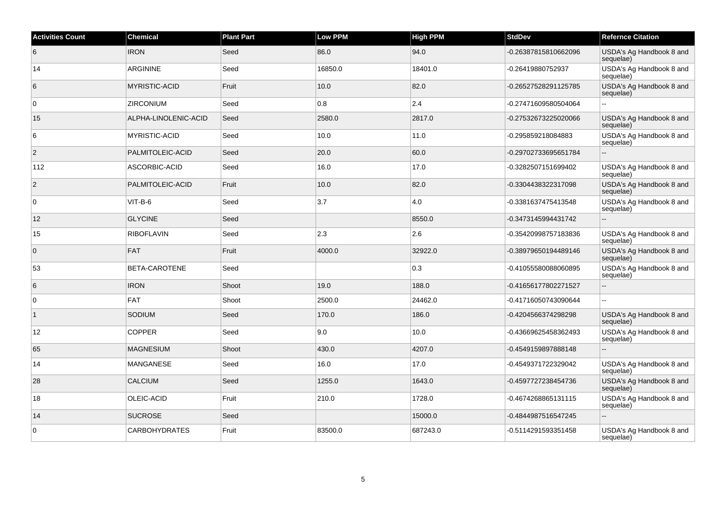| <b>Activities Count</b> | <b>Chemical</b>      | <b>Plant Part</b> | <b>Low PPM</b> | <b>High PPM</b> | <b>StdDev</b>        | <b>Refernce Citation</b>              |
|-------------------------|----------------------|-------------------|----------------|-----------------|----------------------|---------------------------------------|
| 6                       | <b>IRON</b>          | Seed              | 86.0           | 94.0            | -0.26387815810662096 | USDA's Ag Handbook 8 and<br>sequelae) |
| 14                      | <b>ARGININE</b>      | Seed              | 16850.0        | 18401.0         | -0.26419880752937    | USDA's Ag Handbook 8 and<br>sequelae) |
| 6                       | <b>MYRISTIC-ACID</b> | Fruit             | 10.0           | 82.0            | -0.26527528291125785 | USDA's Ag Handbook 8 and<br>sequelae) |
| $\overline{0}$          | <b>ZIRCONIUM</b>     | Seed              | 0.8            | 2.4             | -0.27471609580504064 |                                       |
| 15                      | ALPHA-LINOLENIC-ACID | Seed              | 2580.0         | 2817.0          | -0.27532673225020066 | USDA's Ag Handbook 8 and<br>sequelae) |
| 6                       | <b>MYRISTIC-ACID</b> | Seed              | 10.0           | 11.0            | -0.295859218084883   | USDA's Ag Handbook 8 and<br>sequelae) |
| $\overline{2}$          | PALMITOLEIC-ACID     | Seed              | 20.0           | 60.0            | -0.29702733695651784 | $\mathbf{u}$                          |
| 112                     | ASCORBIC-ACID        | Seed              | 16.0           | 17.0            | -0.3282507151699402  | USDA's Ag Handbook 8 and<br>sequelae) |
| $\overline{2}$          | PALMITOLEIC-ACID     | Fruit             | 10.0           | 82.0            | -0.3304438322317098  | USDA's Ag Handbook 8 and<br>sequelae) |
| $\overline{0}$          | $VIT-B-6$            | Seed              | 3.7            | 4.0             | -0.3381637475413548  | USDA's Ag Handbook 8 and<br>sequelae) |
| 12                      | <b>GLYCINE</b>       | Seed              |                | 8550.0          | -0.3473145994431742  | $\overline{\phantom{a}}$              |
| 15                      | <b>RIBOFLAVIN</b>    | Seed              | 2.3            | 2.6             | -0.35420998757183836 | USDA's Ag Handbook 8 and<br>sequelae) |
| $\overline{0}$          | FAT                  | Fruit             | 4000.0         | 32922.0         | -0.38979650194489146 | USDA's Ag Handbook 8 and<br>sequelae) |
| 53                      | BETA-CAROTENE        | Seed              |                | 0.3             | -0.41055580088060895 | USDA's Ag Handbook 8 and<br>sequelae) |
| 6                       | <b>IRON</b>          | Shoot             | 19.0           | 188.0           | -0.41656177802271527 | $\overline{\phantom{a}}$              |
| $\overline{0}$          | FAT                  | Shoot             | 2500.0         | 24462.0         | -0.41716050743090644 |                                       |
|                         | SODIUM               | Seed              | 170.0          | 186.0           | -0.4204566374298298  | USDA's Ag Handbook 8 and<br>sequelae) |
| 12                      | <b>COPPER</b>        | Seed              | 9.0            | 10.0            | -0.43669625458362493 | USDA's Ag Handbook 8 and<br>sequelae) |
| 65                      | <b>MAGNESIUM</b>     | Shoot             | 430.0          | 4207.0          | -0.4549159897888148  | $\overline{\phantom{a}}$              |
| 14                      | <b>MANGANESE</b>     | Seed              | 16.0           | 17.0            | -0.4549371722329042  | USDA's Ag Handbook 8 and<br>sequelae) |
| 28                      | <b>CALCIUM</b>       | Seed              | 1255.0         | 1643.0          | -0.4597727238454736  | USDA's Ag Handbook 8 and<br>sequelae) |
| 18                      | OLEIC-ACID           | Fruit             | 210.0          | 1728.0          | -0.4674268865131115  | USDA's Ag Handbook 8 and<br>sequelae) |
| 14                      | <b>SUCROSE</b>       | Seed              |                | 15000.0         | -0.4844987516547245  | $\sim$                                |
| 0                       | <b>CARBOHYDRATES</b> | Fruit             | 83500.0        | 687243.0        | -0.5114291593351458  | USDA's Ag Handbook 8 and<br>sequelae) |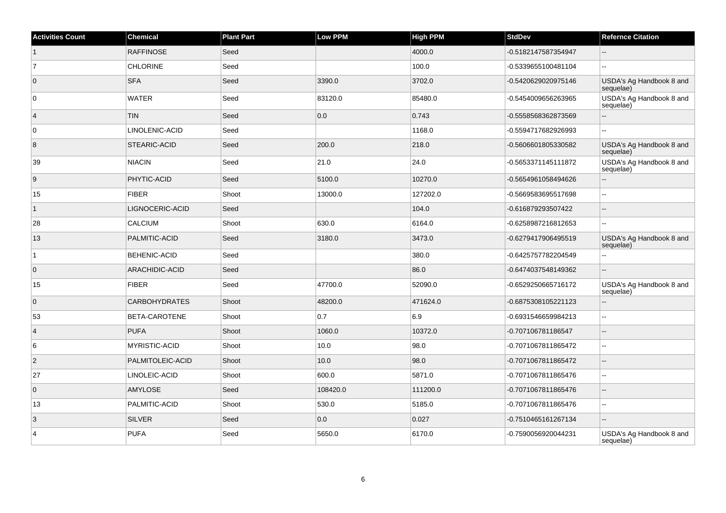| <b>Activities Count</b> | Chemical             | <b>Plant Part</b> | <b>Low PPM</b> | <b>High PPM</b> | <b>StdDev</b>       | <b>Refernce Citation</b>              |
|-------------------------|----------------------|-------------------|----------------|-----------------|---------------------|---------------------------------------|
| $\overline{1}$          | <b>RAFFINOSE</b>     | Seed              |                | 4000.0          | -0.5182147587354947 | $-$                                   |
| $\overline{7}$          | <b>CHLORINE</b>      | Seed              |                | 100.0           | -0.5339655100481104 |                                       |
| $\overline{0}$          | <b>SFA</b>           | Seed              | 3390.0         | 3702.0          | -0.5420629020975146 | USDA's Ag Handbook 8 and<br>sequelae) |
| 0                       | WATER                | Seed              | 83120.0        | 85480.0         | -0.5454009656263965 | USDA's Ag Handbook 8 and<br>sequelae) |
| $\vert$ 4               | <b>TIN</b>           | Seed              | 0.0            | 0.743           | -0.5558568362873569 | L.                                    |
| $\overline{0}$          | LINOLENIC-ACID       | Seed              |                | 1168.0          | -0.5594717682926993 | ä.                                    |
| 8                       | STEARIC-ACID         | Seed              | 200.0          | 218.0           | -0.5606601805330582 | USDA's Ag Handbook 8 and<br>sequelae) |
| 39                      | NIACIN               | Seed              | 21.0           | 24.0            | -0.5653371145111872 | USDA's Ag Handbook 8 and<br>sequelae) |
| 9                       | PHYTIC-ACID          | Seed              | 5100.0         | 10270.0         | -0.5654961058494626 | $-$                                   |
| 15                      | <b>FIBER</b>         | Shoot             | 13000.0        | 127202.0        | -0.5669583695517698 | Ξ.                                    |
| $\mathbf{1}$            | LIGNOCERIC-ACID      | Seed              |                | 104.0           | -0.616879293507422  | $-$                                   |
| 28                      | <b>CALCIUM</b>       | Shoot             | 630.0          | 6164.0          | -0.6258987216812653 |                                       |
| 13                      | PALMITIC-ACID        | Seed              | 3180.0         | 3473.0          | -0.6279417906495519 | USDA's Ag Handbook 8 and<br>sequelae) |
| $\mathbf{1}$            | <b>BEHENIC-ACID</b>  | Seed              |                | 380.0           | -0.6425757782204549 |                                       |
| $\overline{0}$          | ARACHIDIC-ACID       | Seed              |                | 86.0            | -0.6474037548149362 |                                       |
| 15                      | <b>FIBER</b>         | Seed              | 47700.0        | 52090.0         | -0.6529250665716172 | USDA's Ag Handbook 8 and<br>sequelae) |
| $\overline{0}$          | <b>CARBOHYDRATES</b> | Shoot             | 48200.0        | 471624.0        | -0.6875308105221123 | L.                                    |
| 53                      | BETA-CAROTENE        | Shoot             | 0.7            | 6.9             | -0.6931546659984213 | $\sim$                                |
| $\vert 4 \vert$         | <b>PUFA</b>          | Shoot             | 1060.0         | 10372.0         | -0.707106781186547  | $-$                                   |
| 6                       | <b>MYRISTIC-ACID</b> | Shoot             | 10.0           | 98.0            | -0.7071067811865472 | $-$                                   |
| $\overline{2}$          | PALMITOLEIC-ACID     | Shoot             | 10.0           | 98.0            | -0.7071067811865472 | $-$                                   |
| 27                      | LINOLEIC-ACID        | Shoot             | 600.0          | 5871.0          | -0.7071067811865476 | Ξ.                                    |
| $\overline{0}$          | <b>AMYLOSE</b>       | Seed              | 108420.0       | 111200.0        | -0.7071067811865476 |                                       |
| 13                      | PALMITIC-ACID        | Shoot             | 530.0          | 5185.0          | -0.7071067811865476 | Ξ.                                    |
| $\overline{3}$          | <b>SILVER</b>        | Seed              | 0.0            | 0.027           | -0.7510465161267134 | L.                                    |
| $\overline{4}$          | PUFA                 | Seed              | 5650.0         | 6170.0          | -0.7590056920044231 | USDA's Ag Handbook 8 and<br>sequelae) |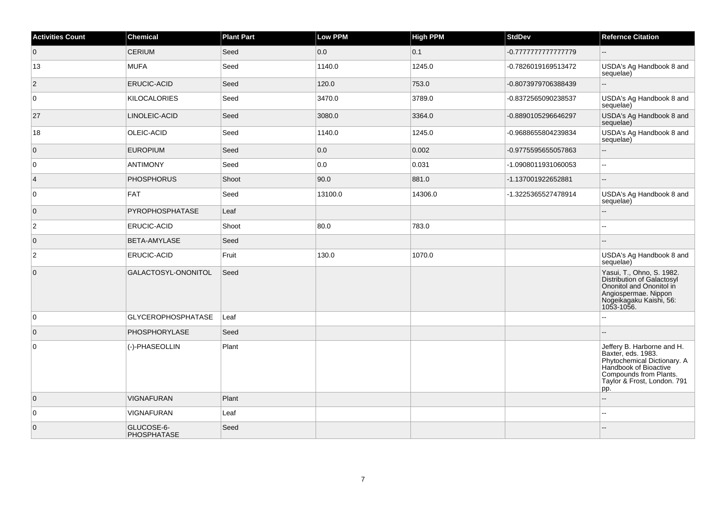| <b>Activities Count</b> | Chemical                  | <b>Plant Part</b> | <b>Low PPM</b> | <b>High PPM</b> | <b>StdDev</b>       | <b>Refernce Citation</b>                                                                                                                                                 |
|-------------------------|---------------------------|-------------------|----------------|-----------------|---------------------|--------------------------------------------------------------------------------------------------------------------------------------------------------------------------|
| $\overline{0}$          | <b>CERIUM</b>             | Seed              | 0.0            | 0.1             | -0.77777777777779   | $\overline{a}$                                                                                                                                                           |
| 13                      | <b>MUFA</b>               | Seed              | 1140.0         | 1245.0          | -0.7826019169513472 | USDA's Ag Handbook 8 and<br>sequelae)                                                                                                                                    |
| $\overline{2}$          | ERUCIC-ACID               | Seed              | 120.0          | 753.0           | -0.8073979706388439 | ш,                                                                                                                                                                       |
| $\overline{0}$          | <b>KILOCALORIES</b>       | Seed              | 3470.0         | 3789.0          | -0.8372565090238537 | USDA's Ag Handbook 8 and<br>sequelae)                                                                                                                                    |
| 27                      | LINOLEIC-ACID             | Seed              | 3080.0         | 3364.0          | -0.8890105296646297 | USDA's Ag Handbook 8 and<br>sequelae)                                                                                                                                    |
| 18                      | OLEIC-ACID                | Seed              | 1140.0         | 1245.0          | -0.9688655804239834 | USDA's Ag Handbook 8 and<br>sequelae)                                                                                                                                    |
| $\overline{0}$          | <b>EUROPIUM</b>           | Seed              | 0.0            | 0.002           | -0.9775595655057863 | Ξ.                                                                                                                                                                       |
| 0                       | <b>ANTIMONY</b>           | Seed              | 0.0            | 0.031           | -1.0908011931060053 | $\overline{\phantom{a}}$                                                                                                                                                 |
| $\overline{4}$          | <b>PHOSPHORUS</b>         | Shoot             | 90.0           | 881.0           | -1.137001922652881  | $\overline{a}$                                                                                                                                                           |
| $\overline{0}$          | <b>FAT</b>                | Seed              | 13100.0        | 14306.0         | -1.3225365527478914 | USDA's Ag Handbook 8 and<br>sequelae)                                                                                                                                    |
| $\overline{0}$          | <b>PYROPHOSPHATASE</b>    | Leaf              |                |                 |                     | $-$                                                                                                                                                                      |
| $\overline{c}$          | ERUCIC-ACID               | Shoot             | 80.0           | 783.0           |                     |                                                                                                                                                                          |
| $\overline{0}$          | BETA-AMYLASE              | Seed              |                |                 |                     |                                                                                                                                                                          |
| $\overline{2}$          | ERUCIC-ACID               | Fruit             | 130.0          | 1070.0          |                     | USDA's Ag Handbook 8 and<br>sequelae)                                                                                                                                    |
| $\overline{0}$          | GALACTOSYL-ONONITOL       | Seed              |                |                 |                     | Yasui, T., Ohno, S. 1982.<br>Distribution of Galactosyl<br>Ononitol and Ononitol in<br>Angiospermae. Nippon<br>Nogeikagaku Kaishi, 56:<br>1053-1056.                     |
| $\overline{0}$          | <b>GLYCEROPHOSPHATASE</b> | Leaf              |                |                 |                     |                                                                                                                                                                          |
| $\overline{0}$          | PHOSPHORYLASE             | Seed              |                |                 |                     |                                                                                                                                                                          |
| $\overline{0}$          | (-)-PHASEOLLIN            | Plant             |                |                 |                     | Jeffery B. Harborne and H.<br>Baxter, eds. 1983.<br>Phytochemical Dictionary. A<br>Handbook of Bioactive<br>Compounds from Plants.<br>Taylor & Frost, London. 791<br>pp. |
| $\overline{0}$          | <b>VIGNAFURAN</b>         | Plant             |                |                 |                     | ш,                                                                                                                                                                       |
| $\overline{0}$          | <b>VIGNAFURAN</b>         | Leaf              |                |                 |                     | $-1$                                                                                                                                                                     |
| $\overline{0}$          | GLUCOSE-6-<br>PHOSPHATASE | Seed              |                |                 |                     |                                                                                                                                                                          |